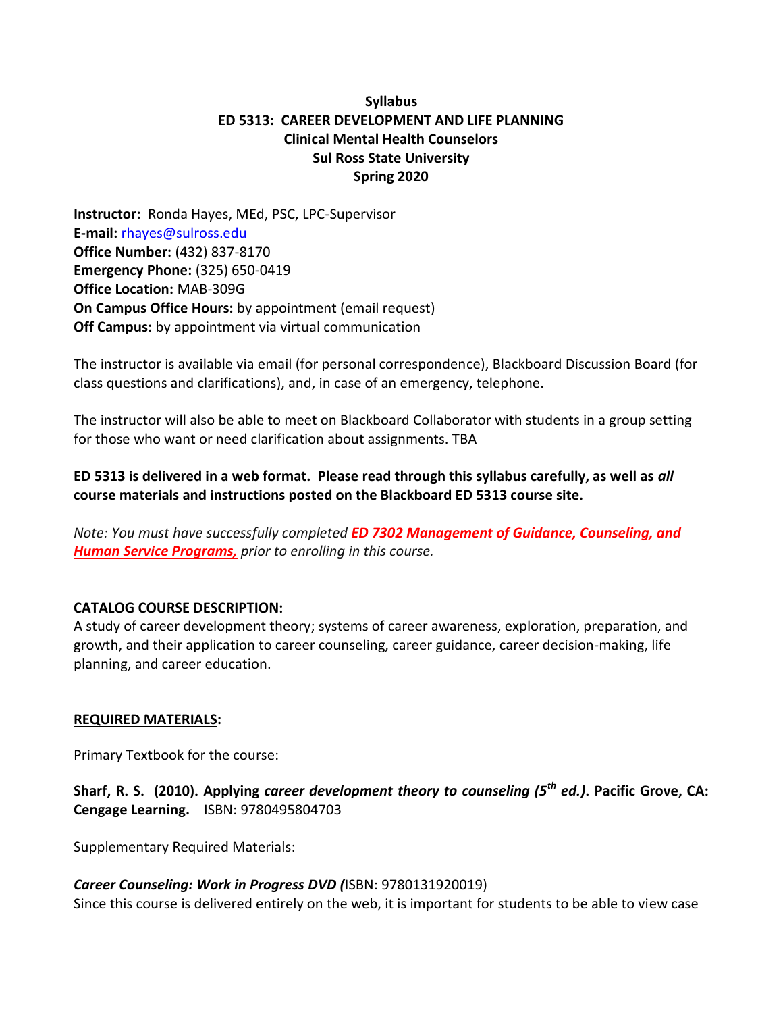# **Syllabus ED 5313: CAREER DEVELOPMENT AND LIFE PLANNING Clinical Mental Health Counselors Sul Ross State University Spring 2020**

**Instructor:** Ronda Hayes, MEd, PSC, LPC-Supervisor **E-mail:** [rhayes@sulross.edu](mailto:rhayes@sulross.edu) **Office Number:** (432) 837-8170 **Emergency Phone:** (325) 650-0419 **Office Location:** MAB-309G **On Campus Office Hours:** by appointment (email request) **Off Campus:** by appointment via virtual communication

The instructor is available via email (for personal correspondence), Blackboard Discussion Board (for class questions and clarifications), and, in case of an emergency, telephone.

The instructor will also be able to meet on Blackboard Collaborator with students in a group setting for those who want or need clarification about assignments. TBA

**ED 5313 is delivered in a web format. Please read through this syllabus carefully, as well as** *all* **course materials and instructions posted on the Blackboard ED 5313 course site.** 

*Note: You must have successfully completed ED 7302 Management of Guidance, Counseling, and Human Service Programs, prior to enrolling in this course.*

#### **CATALOG COURSE DESCRIPTION:**

A study of career development theory; systems of career awareness, exploration, preparation, and growth, and their application to career counseling, career guidance, career decision-making, life planning, and career education.

#### **REQUIRED MATERIALS:**

Primary Textbook for the course:

**Sharf, R. S. (2010). Applying** *career development theory to counseling (5th ed.)***. Pacific Grove, CA: Cengage Learning.** ISBN: 9780495804703

Supplementary Required Materials:

*Career Counseling: Work in Progress DVD (*ISBN: 9780131920019) Since this course is delivered entirely on the web, it is important for students to be able to view case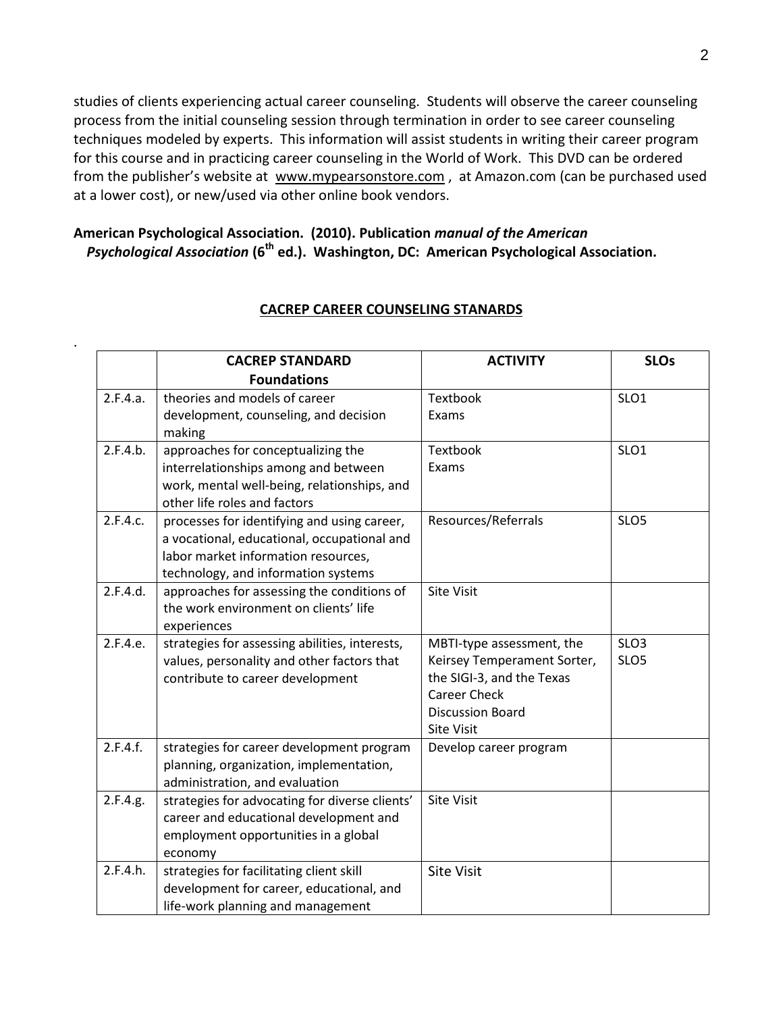studies of clients experiencing actual career counseling. Students will observe the career counseling process from the initial counseling session through termination in order to see career counseling techniques modeled by experts. This information will assist students in writing their career program for this course and in practicing career counseling in the World of Work. This DVD can be ordered from the publisher's website at www.mypearsonstore.com , at Amazon.com (can be purchased used at a lower cost), or new/used via other online book vendors.

# **American Psychological Association. (2010). Publication** *manual of the American Psychological Association* **(6th ed.). Washington, DC: American Psychological Association.**

.

|          | <b>CACREP STANDARD</b>                         | <b>ACTIVITY</b>             | <b>SLOs</b>      |
|----------|------------------------------------------------|-----------------------------|------------------|
|          | <b>Foundations</b>                             |                             |                  |
| 2.F.4.a. | theories and models of career                  | Textbook                    | SLO <sub>1</sub> |
|          | development, counseling, and decision          | Exams                       |                  |
|          | making                                         |                             |                  |
| 2.F.4.b. | approaches for conceptualizing the             | Textbook                    | SLO <sub>1</sub> |
|          | interrelationships among and between           | Exams                       |                  |
|          | work, mental well-being, relationships, and    |                             |                  |
|          | other life roles and factors                   |                             |                  |
| 2.F.4.c. | processes for identifying and using career,    | Resources/Referrals         | SLO <sub>5</sub> |
|          | a vocational, educational, occupational and    |                             |                  |
|          | labor market information resources,            |                             |                  |
|          | technology, and information systems            |                             |                  |
| 2.F.4.d. | approaches for assessing the conditions of     | <b>Site Visit</b>           |                  |
|          | the work environment on clients' life          |                             |                  |
|          | experiences                                    |                             |                  |
| 2.F.4.e. | strategies for assessing abilities, interests, | MBTI-type assessment, the   | SLO <sub>3</sub> |
|          | values, personality and other factors that     | Keirsey Temperament Sorter, | SLO <sub>5</sub> |
|          | contribute to career development               | the SIGI-3, and the Texas   |                  |
|          |                                                | <b>Career Check</b>         |                  |
|          |                                                | <b>Discussion Board</b>     |                  |
|          |                                                | <b>Site Visit</b>           |                  |
| 2.F.4.f. | strategies for career development program      | Develop career program      |                  |
|          | planning, organization, implementation,        |                             |                  |
|          | administration, and evaluation                 |                             |                  |
| 2.F.4.g. | strategies for advocating for diverse clients' | <b>Site Visit</b>           |                  |
|          | career and educational development and         |                             |                  |
|          | employment opportunities in a global           |                             |                  |
|          | economy                                        |                             |                  |
| 2.F.4.h. | strategies for facilitating client skill       | <b>Site Visit</b>           |                  |
|          | development for career, educational, and       |                             |                  |
|          | life-work planning and management              |                             |                  |

#### **CACREP CAREER COUNSELING STANARDS**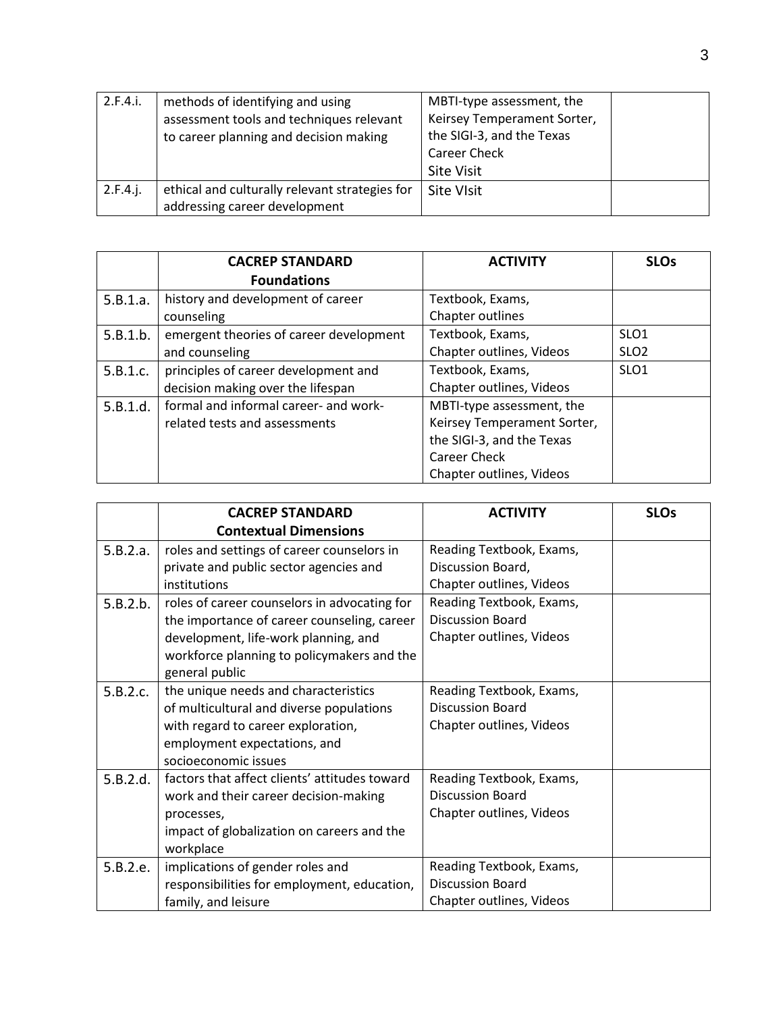| 2.F.4.i. | methods of identifying and using               | MBTI-type assessment, the   |  |
|----------|------------------------------------------------|-----------------------------|--|
|          | assessment tools and techniques relevant       | Keirsey Temperament Sorter, |  |
|          | to career planning and decision making         | the SIGI-3, and the Texas   |  |
|          |                                                | <b>Career Check</b>         |  |
|          |                                                | <b>Site Visit</b>           |  |
| 2.F.4.i. | ethical and culturally relevant strategies for | <b>Site VIsit</b>           |  |
|          | addressing career development                  |                             |  |

|          | <b>CACREP STANDARD</b>                  | <b>ACTIVITY</b>             | <b>SLOs</b>      |
|----------|-----------------------------------------|-----------------------------|------------------|
|          | <b>Foundations</b>                      |                             |                  |
| 5.B.1.a. | history and development of career       | Textbook, Exams,            |                  |
|          | counseling                              | Chapter outlines            |                  |
| 5.B.1.b. | emergent theories of career development | Textbook, Exams,            | SLO <sub>1</sub> |
|          | and counseling                          | Chapter outlines, Videos    | SLO <sub>2</sub> |
| 5.B.1.c. | principles of career development and    | Textbook, Exams,            | SLO <sub>1</sub> |
|          | decision making over the lifespan       | Chapter outlines, Videos    |                  |
| 5.B.1.d. | formal and informal career- and work-   | MBTI-type assessment, the   |                  |
|          | related tests and assessments           | Keirsey Temperament Sorter, |                  |
|          |                                         | the SIGI-3, and the Texas   |                  |
|          |                                         | <b>Career Check</b>         |                  |
|          |                                         | Chapter outlines, Videos    |                  |

|          | <b>CACREP STANDARD</b>                        | <b>ACTIVITY</b>          | <b>SLOs</b> |
|----------|-----------------------------------------------|--------------------------|-------------|
|          | <b>Contextual Dimensions</b>                  |                          |             |
| 5.B.2.a. | roles and settings of career counselors in    | Reading Textbook, Exams, |             |
|          | private and public sector agencies and        | Discussion Board,        |             |
|          | institutions                                  | Chapter outlines, Videos |             |
| 5.B.2.b. | roles of career counselors in advocating for  | Reading Textbook, Exams, |             |
|          | the importance of career counseling, career   | <b>Discussion Board</b>  |             |
|          | development, life-work planning, and          | Chapter outlines, Videos |             |
|          | workforce planning to policymakers and the    |                          |             |
|          | general public                                |                          |             |
| 5.B.2.c. | the unique needs and characteristics          | Reading Textbook, Exams, |             |
|          | of multicultural and diverse populations      | <b>Discussion Board</b>  |             |
|          | with regard to career exploration,            | Chapter outlines, Videos |             |
|          | employment expectations, and                  |                          |             |
|          | socioeconomic issues                          |                          |             |
| 5.B.2.d. | factors that affect clients' attitudes toward | Reading Textbook, Exams, |             |
|          | work and their career decision-making         | <b>Discussion Board</b>  |             |
|          | processes,                                    | Chapter outlines, Videos |             |
|          | impact of globalization on careers and the    |                          |             |
|          | workplace                                     |                          |             |
| 5.B.2.e. | implications of gender roles and              | Reading Textbook, Exams, |             |
|          | responsibilities for employment, education,   | <b>Discussion Board</b>  |             |
|          | family, and leisure                           | Chapter outlines, Videos |             |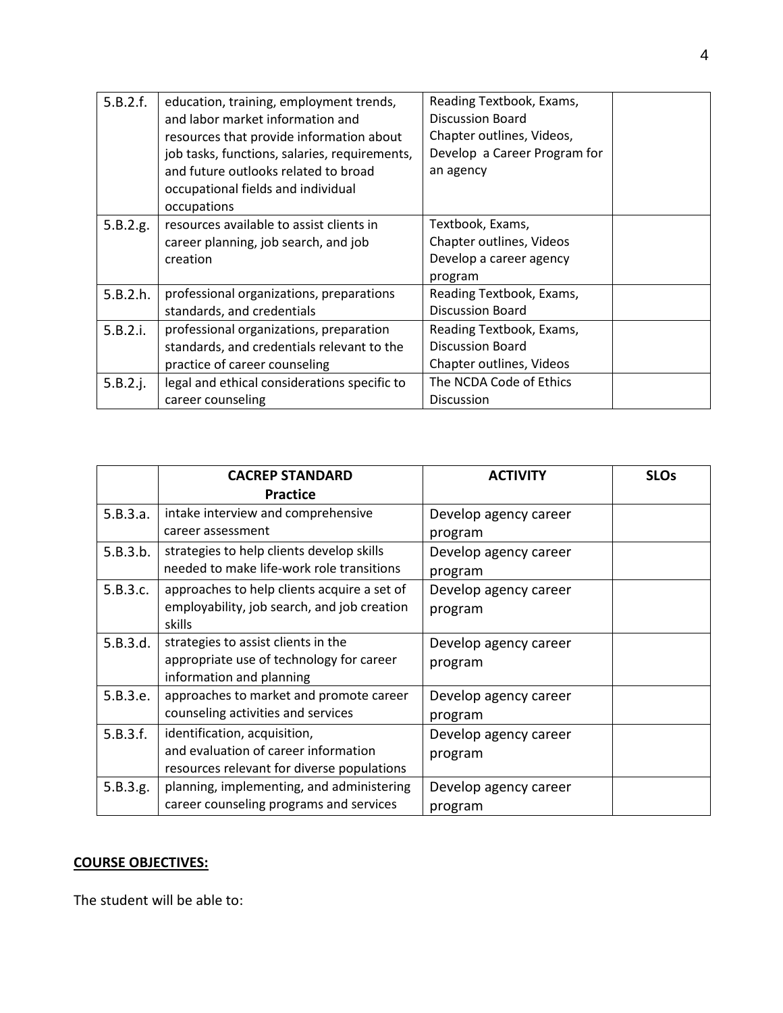| 5.B.2.f. | education, training, employment trends,       | Reading Textbook, Exams,     |  |
|----------|-----------------------------------------------|------------------------------|--|
|          | and labor market information and              | <b>Discussion Board</b>      |  |
|          | resources that provide information about      | Chapter outlines, Videos,    |  |
|          | job tasks, functions, salaries, requirements, | Develop a Career Program for |  |
|          | and future outlooks related to broad          | an agency                    |  |
|          | occupational fields and individual            |                              |  |
|          | occupations                                   |                              |  |
| 5.B.2.g. | resources available to assist clients in      | Textbook, Exams,             |  |
|          | career planning, job search, and job          | Chapter outlines, Videos     |  |
|          | creation                                      | Develop a career agency      |  |
|          |                                               | program                      |  |
| 5.B.2.h. | professional organizations, preparations      | Reading Textbook, Exams,     |  |
|          | standards, and credentials                    | <b>Discussion Board</b>      |  |
| 5.B.2.i. | professional organizations, preparation       | Reading Textbook, Exams,     |  |
|          | standards, and credentials relevant to the    | <b>Discussion Board</b>      |  |
|          | practice of career counseling                 | Chapter outlines, Videos     |  |
| 5.B.2.j. | legal and ethical considerations specific to  | The NCDA Code of Ethics      |  |
|          | career counseling                             | <b>Discussion</b>            |  |

|          | <b>CACREP STANDARD</b>                      | <b>ACTIVITY</b>       | <b>SLOs</b> |
|----------|---------------------------------------------|-----------------------|-------------|
|          | <b>Practice</b>                             |                       |             |
| 5.B.3.a. | intake interview and comprehensive          | Develop agency career |             |
|          | career assessment                           | program               |             |
| 5.B.3.b. | strategies to help clients develop skills   | Develop agency career |             |
|          | needed to make life-work role transitions   | program               |             |
| 5.B.3.c. | approaches to help clients acquire a set of | Develop agency career |             |
|          | employability, job search, and job creation | program               |             |
|          | skills                                      |                       |             |
| 5.B.3.d. | strategies to assist clients in the         | Develop agency career |             |
|          | appropriate use of technology for career    | program               |             |
|          | information and planning                    |                       |             |
| 5.B.3.e. | approaches to market and promote career     | Develop agency career |             |
|          | counseling activities and services          | program               |             |
| 5.B.3.f. | identification, acquisition,                | Develop agency career |             |
|          | and evaluation of career information        | program               |             |
|          | resources relevant for diverse populations  |                       |             |
| 5.B.3.g. | planning, implementing, and administering   | Develop agency career |             |
|          | career counseling programs and services     | program               |             |

# **COURSE OBJECTIVES:**

The student will be able to: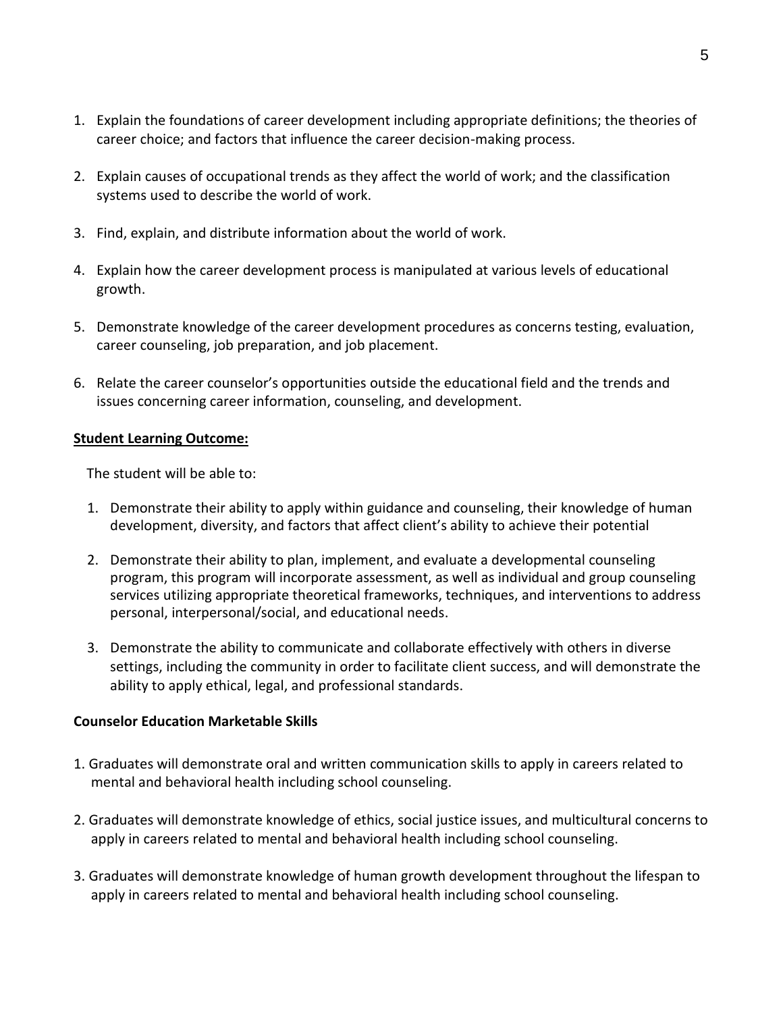- 1. Explain the foundations of career development including appropriate definitions; the theories of career choice; and factors that influence the career decision-making process.
- 2. Explain causes of occupational trends as they affect the world of work; and the classification systems used to describe the world of work.
- 3. Find, explain, and distribute information about the world of work.
- 4. Explain how the career development process is manipulated at various levels of educational growth.
- 5. Demonstrate knowledge of the career development procedures as concerns testing, evaluation, career counseling, job preparation, and job placement.
- 6. Relate the career counselor's opportunities outside the educational field and the trends and issues concerning career information, counseling, and development.

#### **Student Learning Outcome:**

The student will be able to:

- 1. Demonstrate their ability to apply within guidance and counseling, their knowledge of human development, diversity, and factors that affect client's ability to achieve their potential
- 2. Demonstrate their ability to plan, implement, and evaluate a developmental counseling program, this program will incorporate assessment, as well as individual and group counseling services utilizing appropriate theoretical frameworks, techniques, and interventions to address personal, interpersonal/social, and educational needs.
- 3. Demonstrate the ability to communicate and collaborate effectively with others in diverse settings, including the community in order to facilitate client success, and will demonstrate the ability to apply ethical, legal, and professional standards.

#### **Counselor Education Marketable Skills**

- 1. Graduates will demonstrate oral and written communication skills to apply in careers related to mental and behavioral health including school counseling.
- 2. Graduates will demonstrate knowledge of ethics, social justice issues, and multicultural concerns to apply in careers related to mental and behavioral health including school counseling.
- 3. Graduates will demonstrate knowledge of human growth development throughout the lifespan to apply in careers related to mental and behavioral health including school counseling.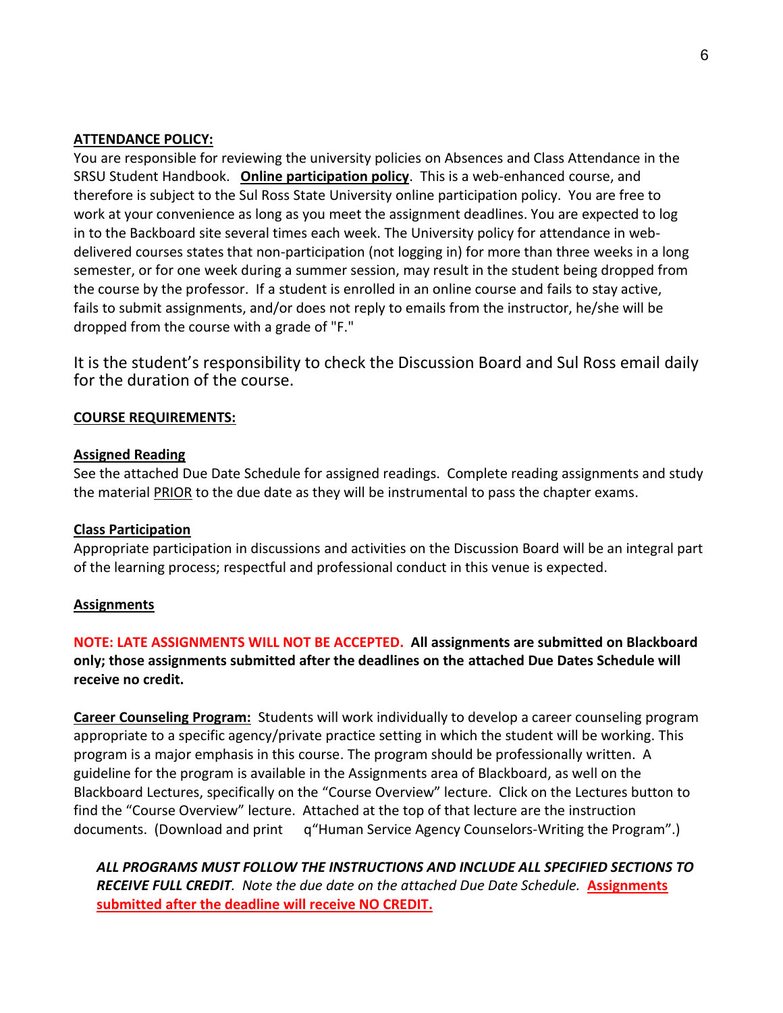#### **ATTENDANCE POLICY:**

You are responsible for reviewing the university policies on Absences and Class Attendance in the SRSU Student Handbook. **Online participation policy**. This is a web-enhanced course, and therefore is subject to the Sul Ross State University online participation policy. You are free to work at your convenience as long as you meet the assignment deadlines. You are expected to log in to the Backboard site several times each week. The University policy for attendance in webdelivered courses states that non-participation (not logging in) for more than three weeks in a long semester, or for one week during a summer session, may result in the student being dropped from the course by the professor. If a student is enrolled in an online course and fails to stay active, fails to submit assignments, and/or does not reply to emails from the instructor, he/she will be dropped from the course with a grade of "F."

It is the student's responsibility to check the Discussion Board and Sul Ross email daily for the duration of the course.

#### **COURSE REQUIREMENTS:**

#### **Assigned Reading**

See the attached Due Date Schedule for assigned readings. Complete reading assignments and study the material PRIOR to the due date as they will be instrumental to pass the chapter exams.

#### **Class Participation**

Appropriate participation in discussions and activities on the Discussion Board will be an integral part of the learning process; respectful and professional conduct in this venue is expected.

#### **Assignments**

# **NOTE: LATE ASSIGNMENTS WILL NOT BE ACCEPTED. All assignments are submitted on Blackboard only; those assignments submitted after the deadlines on the attached Due Dates Schedule will receive no credit.**

**Career Counseling Program:** Students will work individually to develop a career counseling program appropriate to a specific agency/private practice setting in which the student will be working. This program is a major emphasis in this course. The program should be professionally written. A guideline for the program is available in the Assignments area of Blackboard, as well on the Blackboard Lectures, specifically on the "Course Overview" lecture. Click on the Lectures button to find the "Course Overview" lecture. Attached at the top of that lecture are the instruction documents. (Download and print q"Human Service Agency Counselors-Writing the Program".)

*ALL PROGRAMS MUST FOLLOW THE INSTRUCTIONS AND INCLUDE ALL SPECIFIED SECTIONS TO RECEIVE FULL CREDIT. Note the due date on the attached Due Date Schedule.* **Assignments submitted after the deadline will receive NO CREDIT.**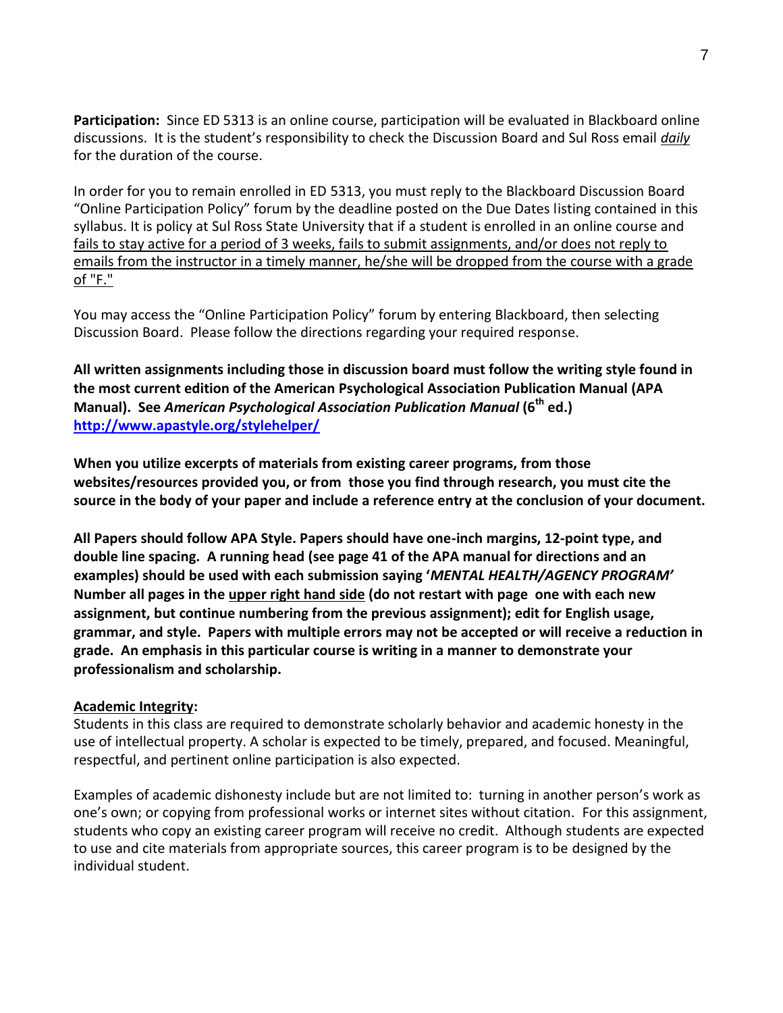**Participation:** Since ED 5313 is an online course, participation will be evaluated in Blackboard online discussions. It is the student's responsibility to check the Discussion Board and Sul Ross email *daily* for the duration of the course.

In order for you to remain enrolled in ED 5313, you must reply to the Blackboard Discussion Board "Online Participation Policy" forum by the deadline posted on the Due Dates listing contained in this syllabus. It is policy at Sul Ross State University that if a student is enrolled in an online course and fails to stay active for a period of 3 weeks, fails to submit assignments, and/or does not reply to emails from the instructor in a timely manner, he/she will be dropped from the course with a grade of "F."

You may access the "Online Participation Policy" forum by entering Blackboard, then selecting Discussion Board. Please follow the directions regarding your required response.

**All written assignments including those in discussion board must follow the writing style found in the most current edition of the American Psychological Association Publication Manual (APA Manual). See** *American Psychological Association Publication Manual* **(6th ed.) <http://www.apastyle.org/stylehelper/>** 

**When you utilize excerpts of materials from existing career programs, from those websites/resources provided you, or from those you find through research, you must cite the source in the body of your paper and include a reference entry at the conclusion of your document.**

**All Papers should follow APA Style. Papers should have one-inch margins, 12-point type, and double line spacing. A running head (see page 41 of the APA manual for directions and an examples) should be used with each submission saying '***MENTAL HEALTH/AGENCY PROGRAM'*  **Number all pages in the upper right hand side (do not restart with page one with each new assignment, but continue numbering from the previous assignment); edit for English usage, grammar, and style. Papers with multiple errors may not be accepted or will receive a reduction in grade. An emphasis in this particular course is writing in a manner to demonstrate your professionalism and scholarship.**

#### **Academic Integrity:**

Students in this class are required to demonstrate scholarly behavior and academic honesty in the use of intellectual property. A scholar is expected to be timely, prepared, and focused. Meaningful, respectful, and pertinent online participation is also expected.

Examples of academic dishonesty include but are not limited to: turning in another person's work as one's own; or copying from professional works or internet sites without citation. For this assignment, students who copy an existing career program will receive no credit. Although students are expected to use and cite materials from appropriate sources, this career program is to be designed by the individual student.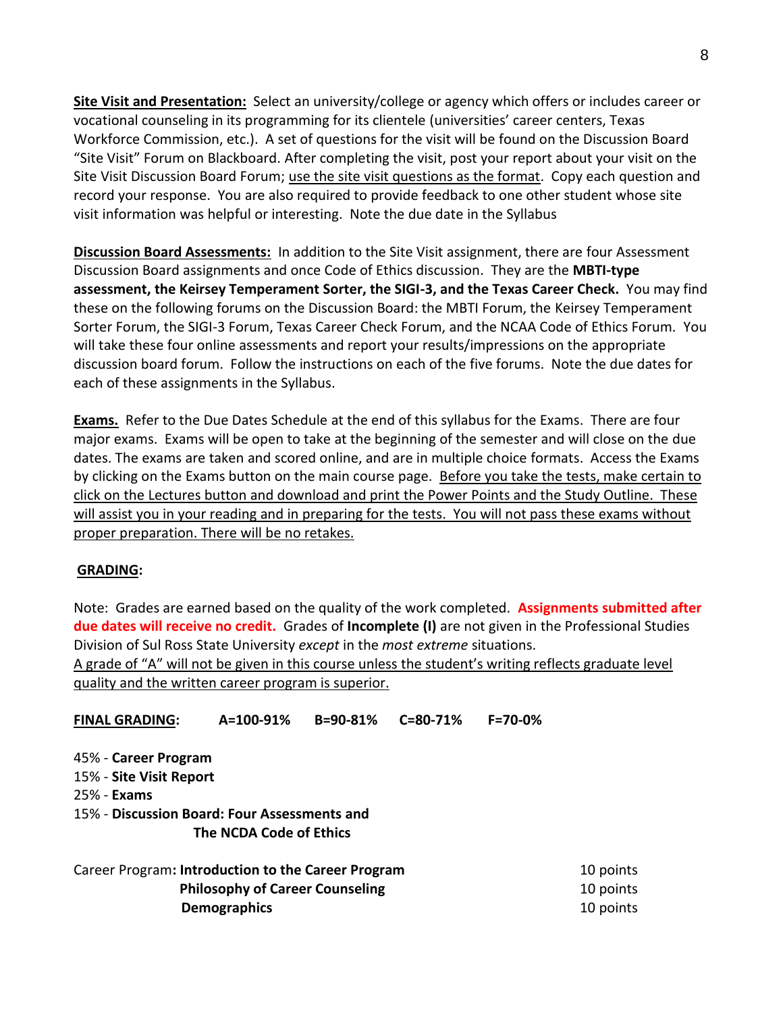**Site Visit and Presentation:** Select an university/college or agency which offers or includes career or vocational counseling in its programming for its clientele (universities' career centers, Texas Workforce Commission, etc.). A set of questions for the visit will be found on the Discussion Board "Site Visit" Forum on Blackboard. After completing the visit, post your report about your visit on the Site Visit Discussion Board Forum; use the site visit questions as the format. Copy each question and record your response. You are also required to provide feedback to one other student whose site visit information was helpful or interesting. Note the due date in the Syllabus

**Discussion Board Assessments:** In addition to the Site Visit assignment, there are four Assessment Discussion Board assignments and once Code of Ethics discussion. They are the **MBTI-type assessment, the Keirsey Temperament Sorter, the SIGI-3, and the Texas Career Check.** You may find these on the following forums on the Discussion Board: the MBTI Forum, the Keirsey Temperament Sorter Forum, the SIGI-3 Forum, Texas Career Check Forum, and the NCAA Code of Ethics Forum. You will take these four online assessments and report your results/impressions on the appropriate discussion board forum. Follow the instructions on each of the five forums. Note the due dates for each of these assignments in the Syllabus.

**Exams.** Refer to the Due Dates Schedule at the end of this syllabus for the Exams. There are four major exams. Exams will be open to take at the beginning of the semester and will close on the due dates. The exams are taken and scored online, and are in multiple choice formats. Access the Exams by clicking on the Exams button on the main course page. Before you take the tests, make certain to click on the Lectures button and download and print the Power Points and the Study Outline. These will assist you in your reading and in preparing for the tests. You will not pass these exams without proper preparation. There will be no retakes.

#### **GRADING:**

Note: Grades are earned based on the quality of the work completed. **Assignments submitted after due dates will receive no credit.** Grades of **Incomplete (I)** are not given in the Professional Studies Division of Sul Ross State University *except* in the *most extreme* situations. A grade of "A" will not be given in this course unless the student's writing reflects graduate level quality and the written career program is superior.

**FINAL GRADING: A=100-91% B=90-81% C=80-71% F=70-0%** 45% - **Career Program** 15% - **Site Visit Report** 25% - **Exams** 15% - **Discussion Board: Four Assessments and The NCDA Code of Ethics** Career Program**: Introduction to the Career Program** 10 points

**Philosophy of Career Counseling** 10 points **Demographics** 10 points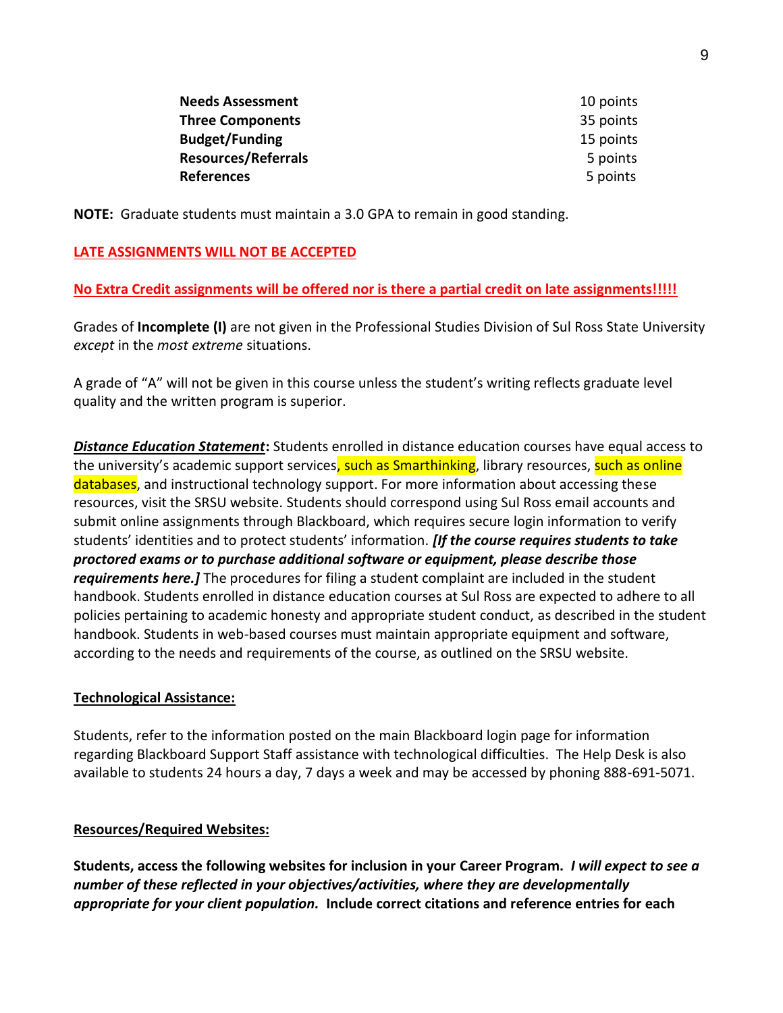| <b>Needs Assessment</b>    | 10 points |
|----------------------------|-----------|
| <b>Three Components</b>    | 35 points |
| <b>Budget/Funding</b>      | 15 points |
| <b>Resources/Referrals</b> | 5 points  |
| <b>References</b>          | 5 points  |

**NOTE:** Graduate students must maintain a 3.0 GPA to remain in good standing.

# **LATE ASSIGNMENTS WILL NOT BE ACCEPTED**

# **No Extra Credit assignments will be offered nor is there a partial credit on late assignments!!!!!**

Grades of **Incomplete (I)** are not given in the Professional Studies Division of Sul Ross State University *except* in the *most extreme* situations.

A grade of "A" will not be given in this course unless the student's writing reflects graduate level quality and the written program is superior.

*Distance Education Statement***:** Students enrolled in distance education courses have equal access to the university's academic support services, such as Smarthinking, library resources, such as online databases, and instructional technology support. For more information about accessing these resources, visit the SRSU website. Students should correspond using Sul Ross email accounts and submit online assignments through Blackboard, which requires secure login information to verify students' identities and to protect students' information. *[If the course requires students to take proctored exams or to purchase additional software or equipment, please describe those requirements here.]* The procedures for filing a student complaint are included in the student handbook. Students enrolled in distance education courses at Sul Ross are expected to adhere to all policies pertaining to academic honesty and appropriate student conduct, as described in the student handbook. Students in web-based courses must maintain appropriate equipment and software, according to the needs and requirements of the course, as outlined on the SRSU website.

# **Technological Assistance:**

Students, refer to the information posted on the main Blackboard login page for information regarding Blackboard Support Staff assistance with technological difficulties. The Help Desk is also available to students 24 hours a day, 7 days a week and may be accessed by phoning 888-691-5071.

# **Resources/Required Websites:**

**Students, access the following websites for inclusion in your Career Program.** *I will expect to see a number of these reflected in your objectives/activities, where they are developmentally appropriate for your client population.* **Include correct citations and reference entries for each**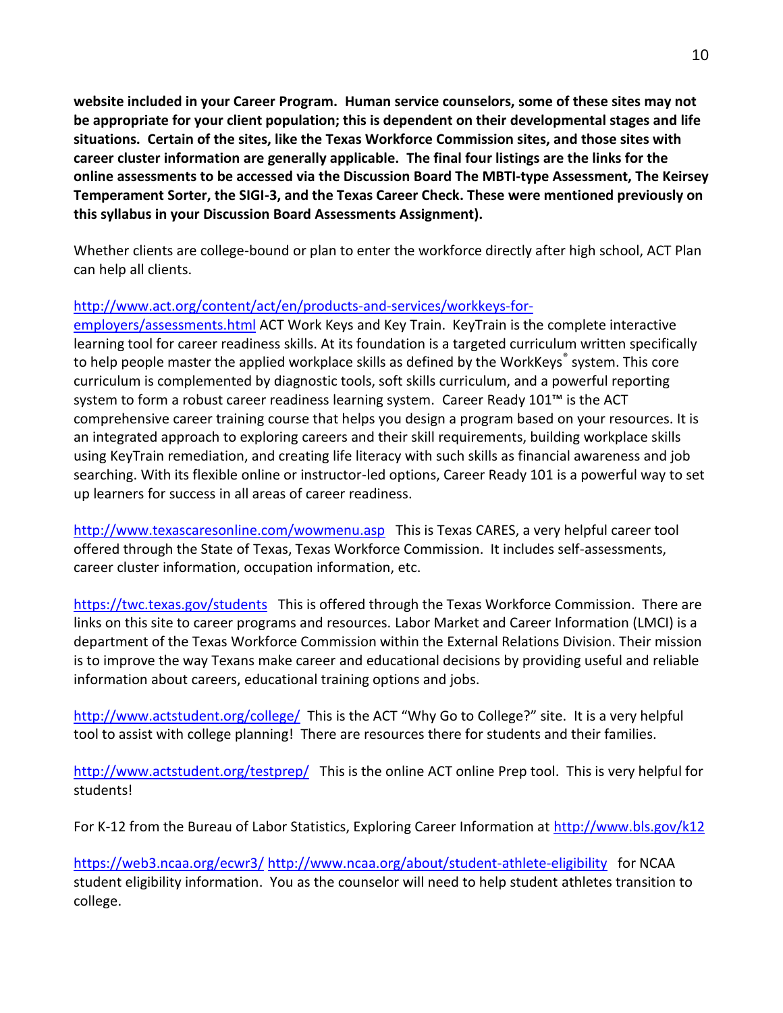**website included in your Career Program. Human service counselors, some of these sites may not be appropriate for your client population; this is dependent on their developmental stages and life situations. Certain of the sites, like the Texas Workforce Commission sites, and those sites with career cluster information are generally applicable. The final four listings are the links for the online assessments to be accessed via the Discussion Board The MBTI-type Assessment, The Keirsey Temperament Sorter, the SIGI-3, and the Texas Career Check. These were mentioned previously on this syllabus in your Discussion Board Assessments Assignment).**

Whether clients are college-bound or plan to enter the workforce directly after high school, ACT Plan can help all clients.

# [http://www.act.org/content/act/en/products-and-services/workkeys-for-](http://www.act.org/content/act/en/products-and-services/workkeys-for-employers/assessments.html)

[employers/assessments.html](http://www.act.org/content/act/en/products-and-services/workkeys-for-employers/assessments.html) ACT Work Keys and Key Train. KeyTrain is the complete interactive learning tool for career readiness skills. At its foundation is a targeted curriculum written specifically to help people master the applied workplace skills as defined by the WorkKeys® system. This core curriculum is complemented by diagnostic tools, soft skills curriculum, and a powerful reporting system to form a robust career readiness learning system. Career Ready 101™ is the ACT comprehensive career training course that helps you design a program based on your resources. It is an integrated approach to exploring careers and their skill requirements, building workplace skills using KeyTrain remediation, and creating life literacy with such skills as financial awareness and job searching. With its flexible online or instructor-led options, Career Ready 101 is a powerful way to set up learners for success in all areas of career readiness.

<http://www.texascaresonline.com/wowmenu.asp> This is Texas CARES, a very helpful career tool offered through the State of Texas, Texas Workforce Commission. It includes self-assessments, career cluster information, occupation information, etc.

<https://twc.texas.gov/students> This is offered through the Texas Workforce Commission. There are links on this site to career programs and resources. Labor Market and Career Information (LMCI) is a department of the Texas Workforce Commission within the External Relations Division. Their mission is to improve the way Texans make career and educational decisions by providing useful and reliable information about careers, educational training options and jobs.

<http://www.actstudent.org/college/>This is the ACT "Why Go to College?" site. It is a very helpful tool to assist with college planning! There are resources there for students and their families.

<http://www.actstudent.org/testprep/> This is the online ACT online Prep tool. This is very helpful for students!

For K-12 from the Bureau of Labor Statistics, Exploring Career Information at<http://www.bls.gov/k12>

<https://web3.ncaa.org/ecwr3/> <http://www.ncaa.org/about/student-athlete-eligibility> for NCAA student eligibility information. You as the counselor will need to help student athletes transition to college.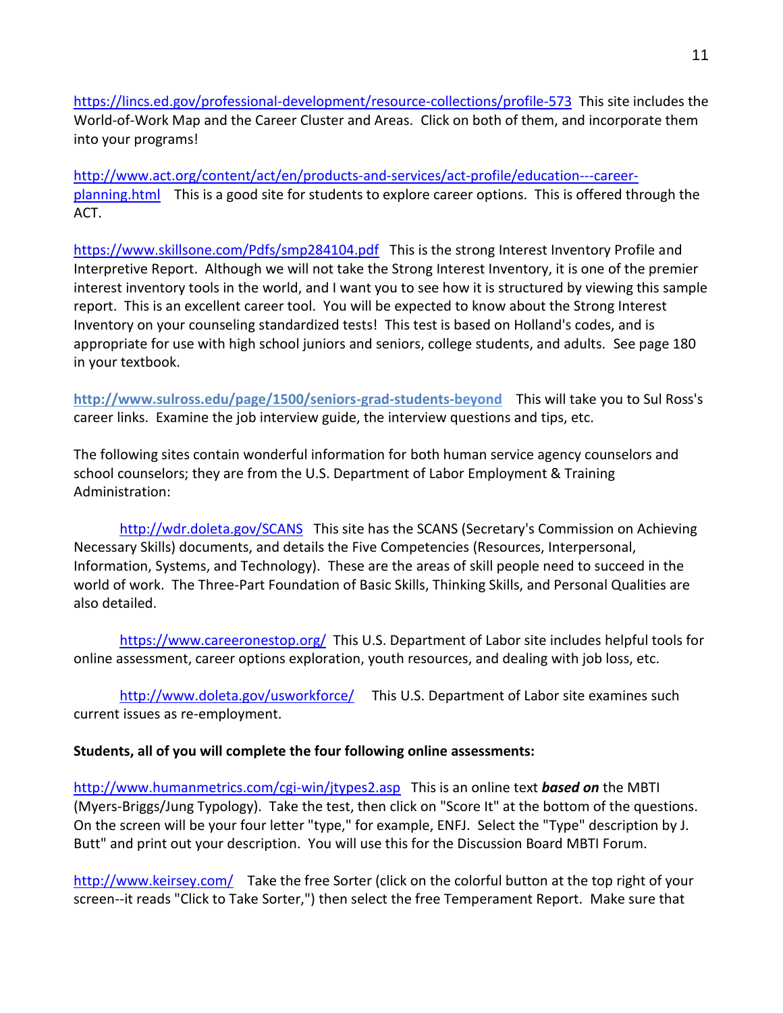<https://lincs.ed.gov/professional-development/resource-collections/profile-573> This site includes the World-of-Work Map and the Career Cluster and Areas. Click on both of them, and incorporate them into your programs!

[http://www.act.org/content/act/en/products-and-services/act-profile/education---career](http://www.act.org/content/act/en/products-and-services/act-profile/education---career-planning.html)[planning.html](http://www.act.org/content/act/en/products-and-services/act-profile/education---career-planning.html) This is a good site for students to explore career options. This is offered through the ACT.

<https://www.skillsone.com/Pdfs/smp284104.pdf>This is the strong Interest Inventory Profile and Interpretive Report. Although we will not take the Strong Interest Inventory, it is one of the premier interest inventory tools in the world, and I want you to see how it is structured by viewing this sample report. This is an excellent career tool. You will be expected to know about the Strong Interest Inventory on your counseling standardized tests! This test is based on Holland's codes, and is appropriate for use with high school juniors and seniors, college students, and adults. See page 180 in your textbook.

**http://www.sulross.edu/page/1500/seniors-grad-students-beyond** This will take you to Sul Ross's career links. Examine the job interview guide, the interview questions and tips, etc.

The following sites contain wonderful information for both human service agency counselors and school counselors; they are from the U.S. Department of Labor Employment & Training Administration:

<http://wdr.doleta.gov/SCANS> This site has the SCANS (Secretary's Commission on Achieving Necessary Skills) documents, and details the Five Competencies (Resources, Interpersonal, Information, Systems, and Technology). These are the areas of skill people need to succeed in the world of work. The Three-Part Foundation of Basic Skills, Thinking Skills, and Personal Qualities are also detailed.

<https://www.careeronestop.org/> This U.S. Department of Labor site includes helpful tools for online assessment, career options exploration, youth resources, and dealing with job loss, etc.

<http://www.doleta.gov/usworkforce/> This U.S. Department of Labor site examines such current issues as re-employment.

# **Students, all of you will complete the four following online assessments:**

[http://www.humanmetrics.com/cgi-win/jtypes2.asp](http://www.humanmetrics.com/cgi-win/JTypes2.asp) This is an online text *based on* the MBTI (Myers-Briggs/Jung Typology). Take the test, then click on "Score It" at the bottom of the questions. On the screen will be your four letter "type," for example, ENFJ. Select the "Type" description by J. Butt" and print out your description. You will use this for the Discussion Board MBTI Forum.

<http://www.keirsey.com/>Take the free Sorter (click on the colorful button at the top right of your screen--it reads "Click to Take Sorter,") then select the free Temperament Report. Make sure that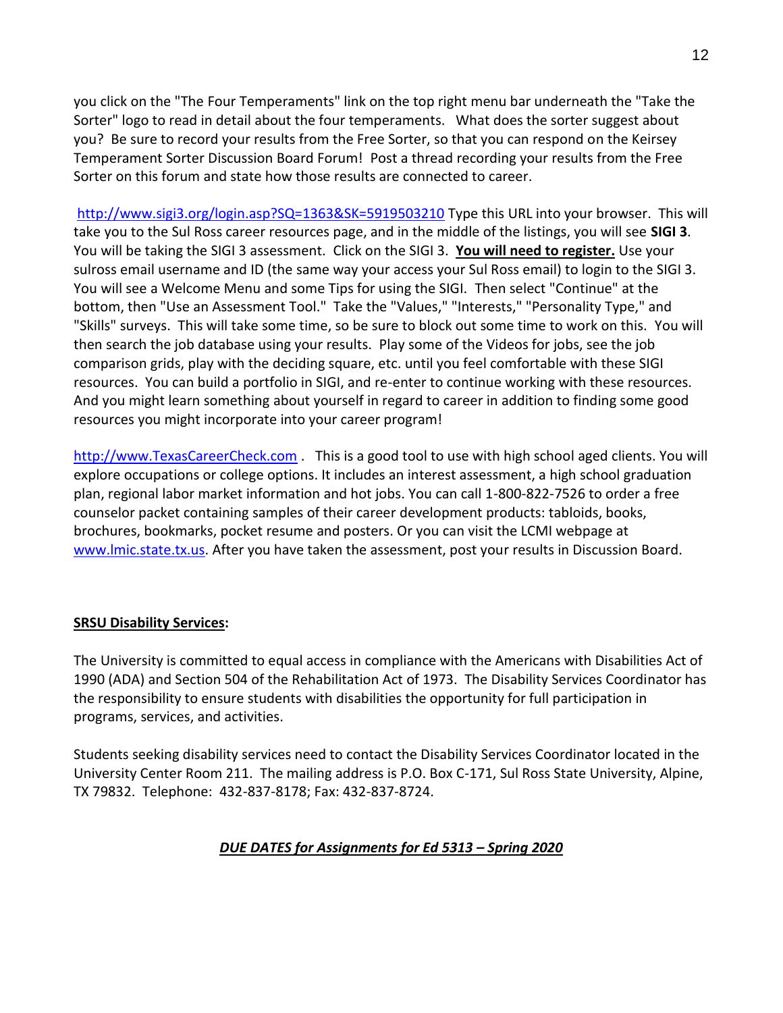you click on the "The Four Temperaments" link on the top right menu bar underneath the "Take the Sorter" logo to read in detail about the four temperaments. What does the sorter suggest about you? Be sure to record your results from the Free Sorter, so that you can respond on the Keirsey Temperament Sorter Discussion Board Forum! Post a thread recording your results from the Free Sorter on this forum and state how those results are connected to career.

<http://www.sigi3.org/login.asp?SQ=1363&SK=5919503210> Type this URL into your browser. This will take you to the Sul Ross career resources page, and in the middle of the listings, you will see **SIGI 3**. You will be taking the SIGI 3 assessment. Click on the SIGI 3. **You will need to register.** Use your sulross email username and ID (the same way your access your Sul Ross email) to login to the SIGI 3. You will see a Welcome Menu and some Tips for using the SIGI. Then select "Continue" at the bottom, then "Use an Assessment Tool." Take the "Values," "Interests," "Personality Type," and "Skills" surveys. This will take some time, so be sure to block out some time to work on this. You will then search the job database using your results. Play some of the Videos for jobs, see the job comparison grids, play with the deciding square, etc. until you feel comfortable with these SIGI resources. You can build a portfolio in SIGI, and re-enter to continue working with these resources. And you might learn something about yourself in regard to career in addition to finding some good resources you might incorporate into your career program!

[http://www.TexasCareerCheck.com](http://www.texascareercheck.com/) . This is a good tool to use with high school aged clients. You will explore occupations or college options. It includes an interest assessment, a high school graduation plan, regional labor market information and hot jobs. You can call 1-800-822-7526 to order a free counselor packet containing samples of their career development products: tabloids, books, brochures, bookmarks, pocket resume and posters. Or you can visit the LCMI webpage at [www.lmic.state.tx.us.](http://www.lmic.state.tx.us/) After you have taken the assessment, post your results in Discussion Board.

# **SRSU Disability Services:**

The University is committed to equal access in compliance with the Americans with Disabilities Act of 1990 (ADA) and Section 504 of the Rehabilitation Act of 1973. The Disability Services Coordinator has the responsibility to ensure students with disabilities the opportunity for full participation in programs, services, and activities.

Students seeking disability services need to contact the Disability Services Coordinator located in the University Center Room 211. The mailing address is P.O. Box C-171, Sul Ross State University, Alpine, TX 79832. Telephone: 432-837-8178; Fax: 432-837-8724.

# *DUE DATES for Assignments for Ed 5313 – Spring 2020*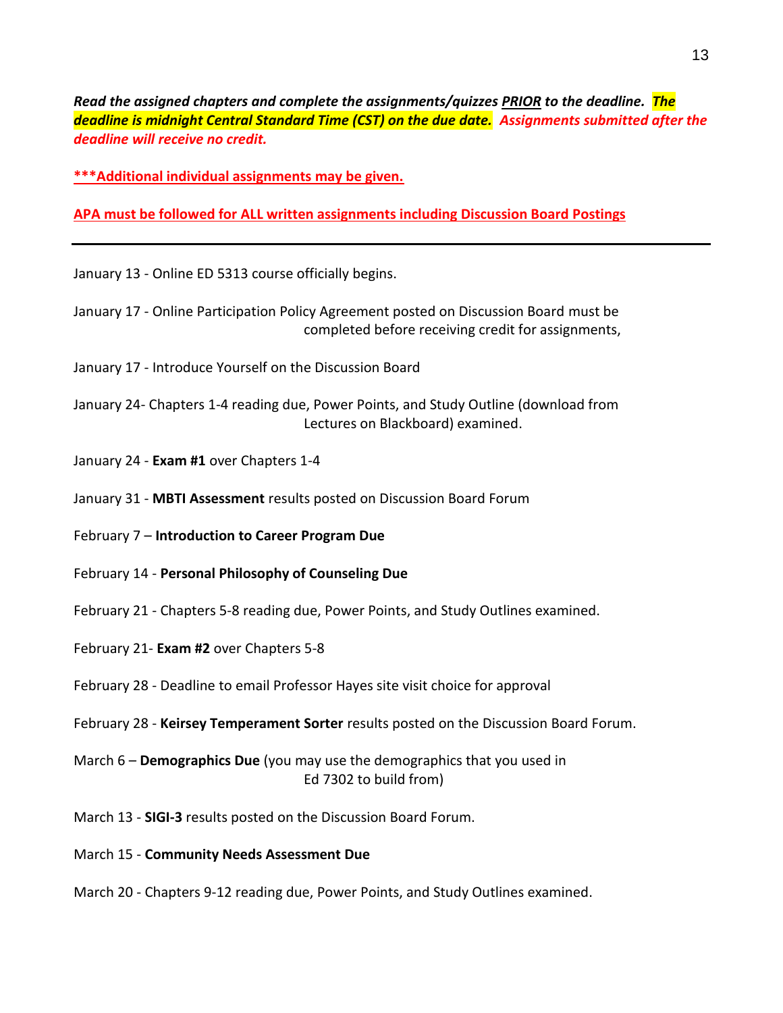*Read the assigned chapters and complete the assignments/quizzes PRIOR to the deadline. The deadline is midnight Central Standard Time (CST) on the due date. Assignments submitted after the deadline will receive no credit.*

**\*\*\*Additional individual assignments may be given.**

**APA must be followed for ALL written assignments including Discussion Board Postings**

- January 13 Online ED 5313 course officially begins.
- January 17 Online Participation Policy Agreement posted on Discussion Board must be completed before receiving credit for assignments,
- January 17 Introduce Yourself on the Discussion Board
- January 24- Chapters 1-4 reading due, Power Points, and Study Outline (download from Lectures on Blackboard) examined.
- January 24 **Exam #1** over Chapters 1-4
- January 31 **MBTI Assessment** results posted on Discussion Board Forum
- February 7 **Introduction to Career Program Due**
- February 14 **Personal Philosophy of Counseling Due**
- February 21 Chapters 5-8 reading due, Power Points, and Study Outlines examined.
- February 21- **Exam #2** over Chapters 5-8
- February 28 Deadline to email Professor Hayes site visit choice for approval
- February 28 **Keirsey Temperament Sorter** results posted on the Discussion Board Forum.
- March 6 **Demographics Due** (you may use the demographics that you used in Ed 7302 to build from)
- March 13 **SIGI-3** results posted on the Discussion Board Forum.
- March 15 **Community Needs Assessment Due**
- March 20 Chapters 9-12 reading due, Power Points, and Study Outlines examined.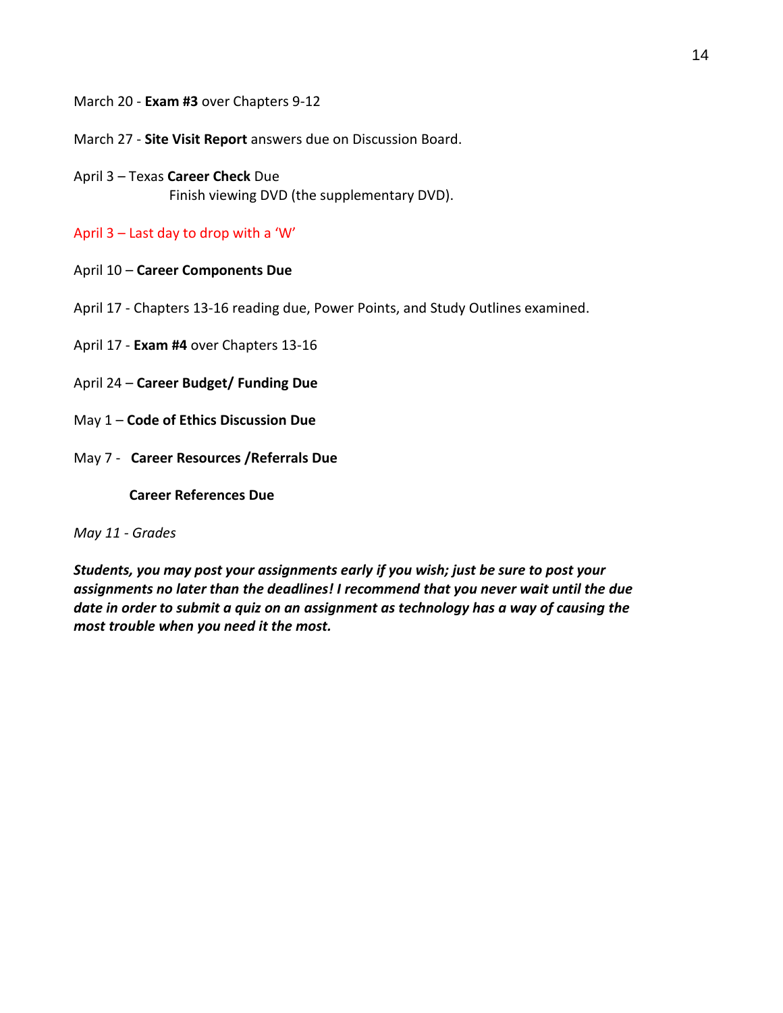March 20 - **Exam #3** over Chapters 9-12

March 27 - **Site Visit Report** answers due on Discussion Board.

April 3 – Texas **Career Check** Due Finish viewing DVD (the supplementary DVD).

April 3 – Last day to drop with a 'W'

- April 10 **Career Components Due**
- April 17 Chapters 13-16 reading due, Power Points, and Study Outlines examined.
- April 17 **Exam #4** over Chapters 13-16
- April 24 **Career Budget/ Funding Due**
- May 1 **Code of Ethics Discussion Due**
- May 7 **Career Resources /Referrals Due**

 **Career References Due**

*May 11 - Grades* 

*Students, you may post your assignments early if you wish; just be sure to post your assignments no later than the deadlines! I recommend that you never wait until the due date in order to submit a quiz on an assignment as technology has a way of causing the most trouble when you need it the most.*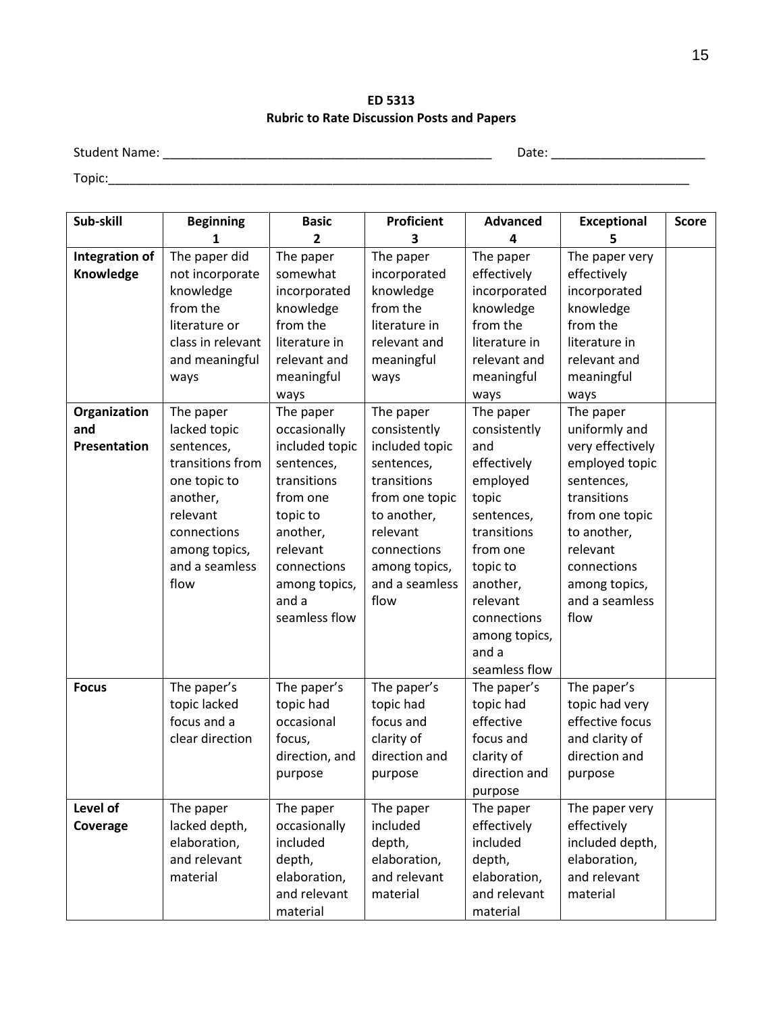**ED 5313 Rubric to Rate Discussion Posts and Papers**

Student Name: \_\_\_\_\_\_\_\_\_\_\_\_\_\_\_\_\_\_\_\_\_\_\_\_\_\_\_\_\_\_\_\_\_\_\_\_\_\_\_\_\_\_\_\_\_\_\_ Date: \_\_\_\_\_\_\_\_\_\_\_\_\_\_\_\_\_\_\_\_\_\_

Topic:\_\_\_\_\_\_\_\_\_\_\_\_\_\_\_\_\_\_\_\_\_\_\_\_\_\_\_\_\_\_\_\_\_\_\_\_\_\_\_\_\_\_\_\_\_\_\_\_\_\_\_\_\_\_\_\_\_\_\_\_\_\_\_\_\_\_\_\_\_\_\_\_\_\_\_\_\_\_\_\_\_\_\_

| Sub-skill                   | <b>Beginning</b>                                                                                                                                 | <b>Basic</b>                                                                                                                                                          | Proficient                                                                                                                                                         | <b>Advanced</b>                                                                                                                                                      | <b>Exceptional</b>                                                                                                                                                                      | <b>Score</b> |
|-----------------------------|--------------------------------------------------------------------------------------------------------------------------------------------------|-----------------------------------------------------------------------------------------------------------------------------------------------------------------------|--------------------------------------------------------------------------------------------------------------------------------------------------------------------|----------------------------------------------------------------------------------------------------------------------------------------------------------------------|-----------------------------------------------------------------------------------------------------------------------------------------------------------------------------------------|--------------|
|                             | 1                                                                                                                                                | $\mathbf{z}$                                                                                                                                                          | 3                                                                                                                                                                  | 4                                                                                                                                                                    | 5                                                                                                                                                                                       |              |
| Integration of<br>Knowledge | The paper did<br>not incorporate<br>knowledge<br>from the                                                                                        | The paper<br>somewhat<br>incorporated<br>knowledge                                                                                                                    | The paper<br>incorporated<br>knowledge<br>from the                                                                                                                 | The paper<br>effectively<br>incorporated<br>knowledge                                                                                                                | The paper very<br>effectively<br>incorporated<br>knowledge                                                                                                                              |              |
|                             | literature or                                                                                                                                    | from the                                                                                                                                                              | literature in                                                                                                                                                      | from the                                                                                                                                                             | from the                                                                                                                                                                                |              |
|                             | class in relevant<br>and meaningful<br>ways                                                                                                      | literature in<br>relevant and<br>meaningful<br>ways                                                                                                                   | relevant and<br>meaningful<br>ways                                                                                                                                 | literature in<br>relevant and<br>meaningful<br>ways                                                                                                                  | literature in<br>relevant and<br>meaningful<br>ways                                                                                                                                     |              |
| Organization                | The paper                                                                                                                                        | The paper                                                                                                                                                             | The paper                                                                                                                                                          | The paper                                                                                                                                                            | The paper                                                                                                                                                                               |              |
| and<br><b>Presentation</b>  | lacked topic<br>sentences,<br>transitions from<br>one topic to<br>another,<br>relevant<br>connections<br>among topics,<br>and a seamless<br>flow | occasionally<br>included topic<br>sentences,<br>transitions<br>from one<br>topic to<br>another,<br>relevant<br>connections<br>among topics,<br>and a<br>seamless flow | consistently<br>included topic<br>sentences,<br>transitions<br>from one topic<br>to another,<br>relevant<br>connections<br>among topics,<br>and a seamless<br>flow | consistently<br>and<br>effectively<br>employed<br>topic<br>sentences,<br>transitions<br>from one<br>topic to<br>another,<br>relevant<br>connections<br>among topics, | uniformly and<br>very effectively<br>employed topic<br>sentences,<br>transitions<br>from one topic<br>to another,<br>relevant<br>connections<br>among topics,<br>and a seamless<br>flow |              |
|                             |                                                                                                                                                  |                                                                                                                                                                       |                                                                                                                                                                    | and a<br>seamless flow                                                                                                                                               |                                                                                                                                                                                         |              |
| <b>Focus</b>                | The paper's<br>topic lacked<br>focus and a<br>clear direction                                                                                    | The paper's<br>topic had<br>occasional<br>focus,<br>direction, and<br>purpose                                                                                         | The paper's<br>topic had<br>focus and<br>clarity of<br>direction and<br>purpose                                                                                    | The paper's<br>topic had<br>effective<br>focus and<br>clarity of<br>direction and<br>purpose                                                                         | The paper's<br>topic had very<br>effective focus<br>and clarity of<br>direction and<br>purpose                                                                                          |              |
| Level of<br>Coverage        | The paper<br>lacked depth,<br>elaboration,<br>and relevant<br>material                                                                           | The paper<br>occasionally<br>included<br>depth,<br>elaboration,<br>and relevant<br>material                                                                           | The paper<br>included<br>depth,<br>elaboration,<br>and relevant<br>material                                                                                        | The paper<br>effectively<br>included<br>depth,<br>elaboration,<br>and relevant<br>material                                                                           | The paper very<br>effectively<br>included depth,<br>elaboration,<br>and relevant<br>material                                                                                            |              |